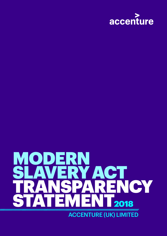

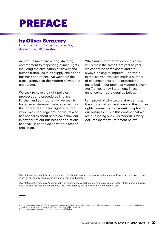# PREFACE

#### by Oliver Benzecry

Chairman and Managing Director, Accenture (UK) Limited

Accenture maintains a long-standing commitment to respecting human rights, including the elimination of slavery and human trafficking in its supply chains and business operations. We welcome the transparency that the Modern Slavery Act encourages.

We seek to have the right policies, processes and procedures in place. Further, and as importantly, we seek to foster an environment where respect for the individual and their rights is a core value. We encourage any individual who has concerns about unethical behaviour in any part of our business or operations to speak up and to do so without fear of retaliation.

While much of what we do in this area will remain the same from year to year, we cannot be complacent and are always looking to improve. Therefore, in the last year we have made a number of enhancements to the protections described in our previous Modern Slavery Act Transparency Statement. These enhancements are detailed below.

I am proud of who we are at Accenture, the ethical values we share and the human rights commitments we seek to uphold in our business. It is in this context that we are publishing our 2018 Modern Slavery Act Transparency Statement below.

This statement sets out the steps Accenture is taking to ensure that slavery and human trafficking<sup>1</sup> are not taking place in any of our supply chains or in any part of our own business.

This statement is made by Accenture UK<sup>2</sup> in accordance with the requirements of section 54(2) of the Modern Slavery Act 2015 and the Modern Slavery Act 2015 (Transparency in Supply Chains) Regulations 2015.

1. In this statement, when we refer to 'slavery and human trafficking,' this includes slavery, servitude, forced or compulsory labour and human trafficking, as each of these terms is explained or defined in the Modern Slavery Act 2015.

<sup>2.</sup> In this statement, 'Accenture UK' means Accenture (UK) Limited.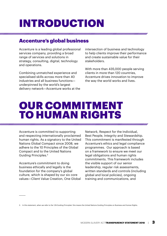# INTRODUCTION

#### Accenture's global business

Accenture is a leading global professional services company, providing a broad range of services and solutions in strategy, consulting, digital, technology and operations.

Combining unmatched experience and specialised skills across more than 40 industries and all business functions underpinned by the world's largest delivery network—Accenture works at the intersection of business and technology to help clients improve their performance and create sustainable value for their stakeholders.

With more than 435,000 people serving clients in more than 120 countries, Accenture drives innovation to improve the way the world works and lives.

## OUR COMMITMENT TO HUMAN RIGHTS

Accenture is committed to supporting and respecting internationally proclaimed human rights. As a signatory to the United Nations Global Compact since 2008, we adhere to the 10 Principles of the Global Compact and to the United Nations Guiding Principles.3

Accenture's commitment to doing business ethically and legally is the foundation for the company's global culture, which is shaped by our six core values—Client Value Creation, One Global Network, Respect for the Individual, Best People, Integrity and Stewardship. This commitment is manifested through Accenture's ethics and legal compliance programmes. Our approach is based on a framework to ensure we meet our legal obligations and human rights commitments. This framework includes the visible support of our senior leadership, regular risk assessments, written standards and controls (including global and local policies), ongoing training and communications, and

<sup>3.</sup> In this statement, when we refer to the 'UN Guiding Principles' this means the United Nations Guiding Principles on Business and Human Rights.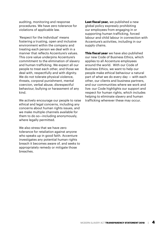auditing, monitoring and response procedures. We have zero tolerance for violations of applicable law.

'Respect for the Individual' means fostering a trusting, open and inclusive environment within the company and treating each person we deal with in a manner that reflects Accenture's values. This core value underpins Accenture's commitment to the elimination of slavery and human trafficking. We expect all our people to treat each other, and those we deal with, respectfully and with dignity. We do not tolerate physical violence, threats, corporal punishment, mental coercion, verbal abuse, disrespectful behaviour, bullying or harassment of any kind.

We actively encourage our people to raise ethical and legal concerns, including any concerns about human rights issues, and we make multiple channels available for them to do so—including anonymously, where legally permitted.

We also stress that we have zero tolerance for retaliation against anyone who speaks up in good faith. Accenture investigates any potential human rights breach it becomes aware of, and seeks to appropriately remedy or mitigate those breaches.

**Last fiscal year,** we published a new global policy expressly prohibiting our employees from engaging in or supporting human trafficking, forced labour and child labour in connection with Accenture's activities, including in our supply chains.

**This fiscal year** we have also published our new Code of Business Ethics, which applies to all Accenture employees around the world. With our Code of Business Ethics, we want to help our people make ethical behaviour a natural part of what we do every day — with each other, our clients and business partners, and our communities where we work and live: our Code highlights our support and respect for human rights, which includes helping to eliminate slavery and human trafficking wherever these may occur.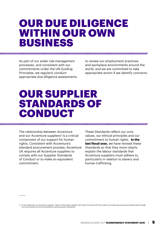## OUR DUE DILIGENCE WITHIN OUR OWN BUSINESS

As part of our wider risk-management processes, and consistent with our commitments under the UN Guiding Principles, we regularly conduct appropriate due diligence assessments to review our employment practices and workplace environments around the world, and we are committed to take appropriate action if we identify concerns.

## OUR SUPPLIER STANDARDS OF CONDUCT

The relationship between Accenture and our Accenture suppliers<sup>4</sup> is a critical component of our support for human rights. Consistent with Accenture's standard procurement process, Accenture UK requires all Accenture suppliers to comply with our Supplier Standards of Conduct or to make an equivalent commitment.

These Standards reflect our core values, our ethical principles and our commitment to human rights. **In the last fiscal year,** we have revised these Standards so that they more clearly explain the labour standards that Accenture suppliers must adhere to, particularly in relation to slavery and human trafficking.

<sup>4.</sup> In this statement, an 'Accenture supplier' means a third-party supplier with whom Accenture UK has a direct and enduring contractual relationship through our procurement function (excluding Accenture group companies).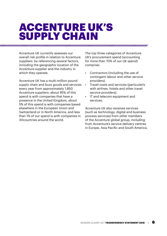## ACCENTURE UK'S **SUPPLY CHAIN**

Accenture UK currently assesses our overall risk profile in relation to Accenture suppliers by referencing several factors, including the geographic location of the Accenture supplier and the industry in which they operate.

Accenture UK has a multi-million pound supply chain and buys goods and services every year from approximately 1,850 Accenture suppliers: about 95% of this spend is with companies that have a presence in the United Kingdom, about 5% of this spend is with companies based elsewhere in the European Union and Switzerland or in North America, and less than 1% of our spend is with companies in 30countries around the world.

The top three categories of Accenture UK's procurement spend (accounting for more than 70% of our UK spend) comprise:

- Contractors (including the use of contingent labour and other service providers).
- Travel costs and services (particularly with airlines, hotels and other travel service providers).
- IT and telecom equipment and services.

Accenture UK also receives services (such as technology, digital and business process services) from other members of the Accenture global group, including from Accenture's service delivery centres in Europe, Asia Pacific and South America.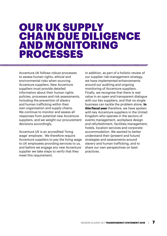#### OUR UK SUPPLY CHAIN DUE DILIGENCE AND MONITORING PROCESSES

Accenture UK follows robust processes to assess human rights, ethical and environmental risks when sourcing Accenture suppliers. New Accenture suppliers must provide detailed information about their human rights policies, processes and risk assessments, including the prevention of slavery and human trafficking within their own organisation and supply chains. We continue to monitor and assess all responses from potential new Accenture suppliers, and we weight our procurement decisions accordingly.

Accenture UK is an accredited 'living wage' employer. We therefore require Accenture suppliers to pay the living wage to UK employees providing services to us, and before we engage any new Accenture supplier we take steps to verify that they meet this requirement.

In addition, as part of a holistic review of our supplier risk-management strategy, we have implemented enhancements around our auditing and ongoing monitoring of Accenture suppliers. Finally, we recognise that there is real value in an open and transparent dialogue with our key suppliers, and that no single business can tackle the problem alone. **In this fiscal year** therefore, we have spoken with key Accenture suppliers in the United Kingdom who operate in the sectors of events management, workplace design and refurbishment, facilities management, hotels, location services and corporate accommodation. We wanted to better understand their (present and future) strategies and assessments around slavery and human trafficking, and to share our own perspectives on best practices.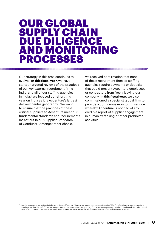#### OUR GLOBAL SUPPLY CHAIN DUE DILIGENCE AND MONITORING PROCESSES

Our strategy in this area continues to evolve. **In this fiscal year,** we have started targeted reviews of the practices of our key external recruitment firms in India and all of our staffing agencies in India.<sup>5</sup> We focused our effort this year on India as it is Accenture's largest delivery centre geography. We want to ensure that the practices of these critical suppliers to Accenture meet our fundamental standards and requirements (as set out in our Supplier Standards of Conduct). Amongst other checks,

we received confirmation that none of these recruitment firms or staffing agencies require payments or deposits that could prevent Accenture employees or contractors from freely leaving our company. **In this fiscal year,** we also commissioned a specialist global firm to provide a continuous monitoring service whereby Accenture is notified of any credible report of supplier engagement in human trafficking or other prohibited activities.

<sup>5.</sup> For the purposes of our reviews in India, we reviewed: (1) our top 20 employee recruitment agencies (covering 75% of our 7,000 employees recruited this fiscal year via this channel); (2) our top 4 campus recruitment partners (covering most of our 13,000 employees recruited via this channel); (3) Linked In and Naukri (who together cover 97% of our employees recruited via social media); (4) all of our temporary staffing and manpower agencies.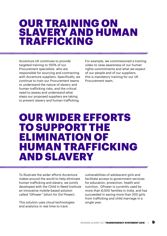#### OUR TRAINING ON SLAVERY AND HUMAN TRAFFICKING

Accenture UK continues to provide targeted training to 100% of our Procurement specialists who are responsible for sourcing and contracting with Accenture suppliers. Specifically, we continue to train our Procurement teams to understand the nature of slavery and human trafficking risks, and the critical need to assess and understand what steps our proposed suppliers are taking to prevent slavery and human trafficking.

For example, we commissioned a training video to raise awareness of our human rights commitments and what we expect of our people and of our suppliers: this is mandatory training for our UK Procurement team.

#### OUR WIDER EFFORTS TO SUPPORT THE ELIMINATION OF HUMAN TRAFFICKING AND SLAVERY

To illustrate the wider efforts Accenture makes around the world to help eliminate human trafficking and slavery, we jointly developed with the Child in Need Institute an innovative mobile-based solution called "GPower" (short for Girl Power).

This solution uses cloud technologies and analytics in real time to track

vulnerabilities of adolescent girls and facilitate access to government services for education, protection, health and nutrition. GPower is currently used by more than 6,000 families in India, and has succeeded in saving more than 200 girls from trafficking and child marriage in a single year.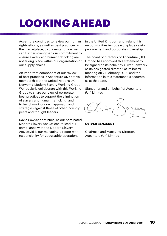# LOOKING AHEAD

Accenture continues to review our human rights efforts, as well as best practices in the marketplace, to understand how we can further strengthen our commitment to ensure slavery and human trafficking are not taking place within our organisation or our supply chains.

An important component of our review of best practices is Accenture UK's active membership of the United Nations UK Network's Modern Slavery Working Group. We regularly collaborate with this Working Group to share our view of corporate best practices to support the elimination of slavery and human trafficking, and to benchmark our own approach and strategies against those of other industry peers and thought leaders.

David Sawyer continues, as our nominated Modern Slavery Act Officer, to lead our compliance with the Modern Slavery Act. David is our managing director with responsibility for geographic operations

in the United Kingdom and Ireland; his responsibilities include workplace safety, procurement and corporate citizenship.

The board of directors of Accenture (UK) Limited has approved this statement to be signed on its behalf by Oliver Benzecry as its designated director, at its board meeting on 21 February 2018, and the information in this statement is accurate as at that date.

Signed for and on behalf of Accenture (UK) Limited



#### **OLIVER BENZECRY**

Chairman and Managing Director, Accenture (UK) Limited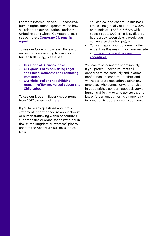For more information about Accenture's human rights agenda generally and how we adhere to our obligations under the United Nations Global Compact, please see our latest [Corporate Citizenship](https://www.accenture.com/t20170329T044918Z__w__/us-en/_acnmedia/PDF-48/Accenture-2016-Corporate-Citizenship-Report.pdf)  [report.](https://www.accenture.com/t20170329T044918Z__w__/us-en/_acnmedia/PDF-48/Accenture-2016-Corporate-Citizenship-Report.pdf)

To see our Code of Business Ethics and our key policies relating to slavery and human trafficking, please see:

- [Our Code of Business Ethics](https://www.accenture.com/t00010101T000000Z__w__/gb-en/_acnmedia/PDF-63/Accenture-CoBE-Brochure-English.pdf#zoom=50)
- Our global Policy on Raising Legal [and Ethical Concerns and Prohibiting](https://www.accenture.com/_acnmedia/PDF-71/Accenture-Raising-Legal-and-Ethical-Concerns-and-Prohibiting-Retaliation)  **Retaliation**
- Our global Policy on Prohibiting [Human Trafficking, Forced Labour and](https://www.accenture.com/_acnmedia/PDF-71/Accenture-Prohibition-on-Human-Trafficking-Forced-Labor-and-Child-Labor)  Child Labour.

To see our Modern Slavery Act statement from 2017 please click [here](https://www.accenture.com/t20170302T051208Z__w__/gb-en/_acnmedia/PDF-44/Accenture-Modern-Slavery-Act-Statement-2017.pdf).

If you have any questions about this statement, or any concerns about slavery or human trafficking within Accenture's supply chains or organisation (whether in the United Kingdom or overseas) please contact the Accenture Business Ethics Line:

- You can call the Accenture Business Ethics Line globally at +1 312 737 8262; or in India at +1 888 276 6226 with access code: 000-117. It is available 24 hours a day, seven days a week (you can reverse the charges); or
- You can report your concern via the Accenture Business Ethics Line website at [https://businessethicsline.com/](https://businessethicsline.com/accenture/) [accenture/.](https://businessethicsline.com/accenture/)

You can raise concerns anonymously, if you prefer. Accenture treats all concerns raised seriously and in strict confidence. Accenture prohibits and will not tolerate retaliation against any employee who comes forward to raise, in good faith, a concern about slavery or human trafficking or who assists us, or a law enforcement authority, by providing information to address such a concern.